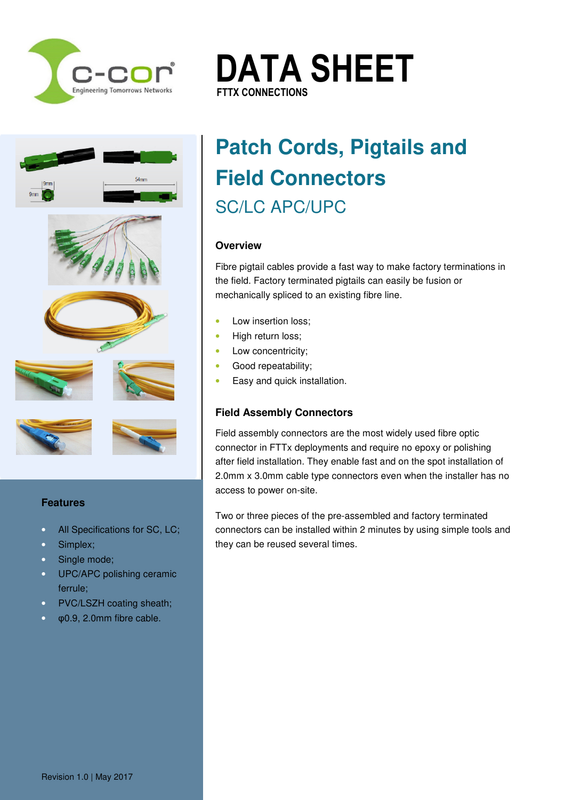









### **Features**

- All Specifications for SC, LC;
- Simplex;
- Single mode;
- UPC/APC polishing ceramic ferrule;
- PVC/LSZH coating sheath;
- φ0.9, 2.0mm fibre cable.

# **Patch Cords, Pigtails and Field Connectors**  SC/LC APC/UPC

**DATA SHEET**

### **Overview**

Fibre pigtail cables provide a fast way to make factory terminations in the field. Factory terminated pigtails can easily be fusion or mechanically spliced to an existing fibre line.

• Low insertion loss;

**FTTX CONNECTIONS FTTX CONNECTIONS**

- High return loss;
- Low concentricity:
- Good repeatability;
- Easy and quick installation.

## **Field Assembly Connectors**

Field assembly connectors are the most widely used fibre optic connector in FTTx deployments and require no epoxy or polishing after field installation. They enable fast and on the spot installation of 2.0mm x 3.0mm cable type connectors even when the installer has no access to power on-site.

Two or three pieces of the pre-assembled and factory terminated connectors can be installed within 2 minutes by using simple tools and they can be reused several times.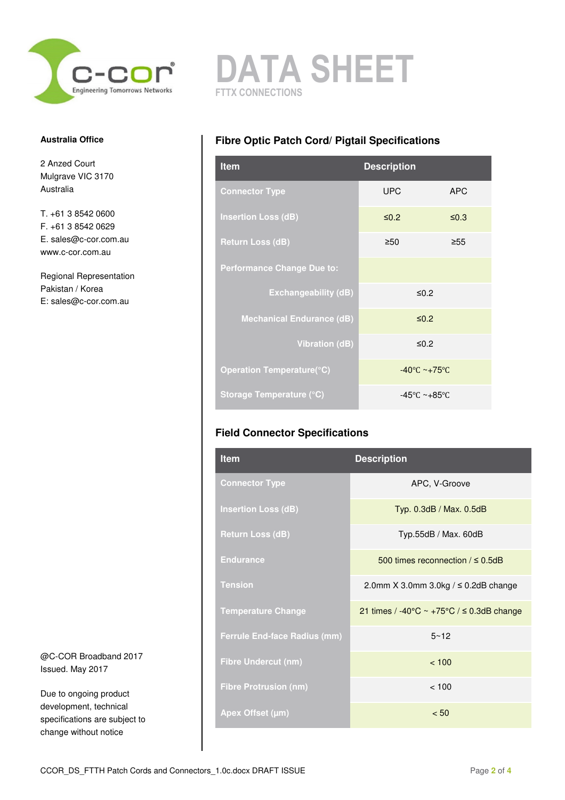

#### **Australia Office**

2 Anzed Court Mulgrave VIC 3170 Australia

T. +61 3 8542 0600 F. +61 3 8542 0629 E. sales@c-cor.com.au www.c-cor.com.au

Regional Representation Pakistan / Korea E: sales@c-cor.com.au

@C-COR Broadband 2017 Issued. May 2017

Due to ongoing product development, technical specifications are subject to change without notice



## **Fibre Optic Patch Cord/ Pigtail Specifications**

| <b>Item</b>                       | <b>Description</b>                |            |
|-----------------------------------|-----------------------------------|------------|
| <b>Connector Type</b>             | <b>UPC</b>                        | <b>APC</b> |
| <b>Insertion Loss (dB)</b>        | $\leq 0.2$                        | $\leq 0.3$ |
| <b>Return Loss (dB)</b>           | $\geq 50$                         | $\geq 55$  |
| <b>Performance Change Due to:</b> |                                   |            |
| <b>Exchangeability (dB)</b>       | ≤0.2                              |            |
| <b>Mechanical Endurance (dB)</b>  | $\leq 0.2$                        |            |
| <b>Vibration (dB)</b>             | ≤0.2                              |            |
| Operation Temperature(°C)         | $-40^{\circ}$ C ~+75°C            |            |
| <b>Storage Temperature (°C)</b>   | $-45^{\circ}$ C ~+85 $^{\circ}$ C |            |

## **Field Connector Specifications**

| <b>Item</b>                         | <b>Description</b>                                                 |
|-------------------------------------|--------------------------------------------------------------------|
| <b>Connector Type</b>               | APC, V-Groove                                                      |
| <b>Insertion Loss (dB)</b>          | Typ. 0.3dB / Max. 0.5dB                                            |
| <b>Return Loss (dB)</b>             | Typ.55dB / Max. 60dB                                               |
| <b>Endurance</b>                    | 500 times reconnection $/ \leq 0.5$ dB                             |
| <b>Tension</b>                      | 2.0mm $X$ 3.0mm 3.0kg / $\leq$ 0.2dB change                        |
| <b>Temperature Change</b>           | 21 times / -40 $\degree$ C ~ +75 $\degree$ C / $\leq$ 0.3dB change |
| <b>Ferrule End-face Radius (mm)</b> | $5 - 12$                                                           |
| <b>Fibre Undercut (nm)</b>          | < 100                                                              |
| <b>Fibre Protrusion (nm)</b>        | < 100                                                              |
| Apex Offset (µm)                    | < 50                                                               |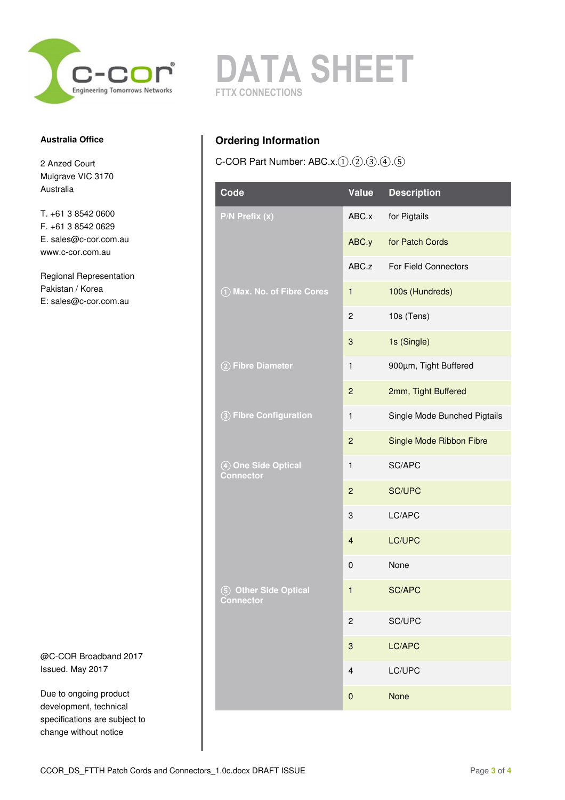

#### **Australia Office**

2 Anzed Court Mulgrave VIC 3170 Australia

T. +61 3 8542 0600 F. +61 3 8542 0629 E. sales@c-cor.com.au www.c-cor.com.au

Regional Representation Pakistan / Korea E: sales@c-cor.com.au

@C-COR Broadband 2017 Issued. May 2017

Due to ongoing product development, technical specifications are subject to change without notice



# **Ordering Information**

C-COR Part Number: ABC.x.①.②.③.④.⑤

| Code                                          | <b>Value</b>              | <b>Description</b>           |
|-----------------------------------------------|---------------------------|------------------------------|
| P/N Prefix (x)                                | ABC.x                     | for Pigtails                 |
|                                               | ABC.y                     | for Patch Cords              |
|                                               | ABC.z                     | For Field Connectors         |
| 1) Max. No. of Fibre Cores                    | $\mathbf{1}$              | 100s (Hundreds)              |
|                                               | $\boldsymbol{2}$          | 10s (Tens)                   |
|                                               | $\ensuremath{\mathsf{3}}$ | 1s (Single)                  |
| 2 Fibre Diameter                              | $\mathbf{1}$              | 900µm, Tight Buffered        |
|                                               | $\overline{c}$            | 2mm, Tight Buffered          |
| 3 Fibre Configuration                         | $\mathbf{1}$              | Single Mode Bunched Pigtails |
|                                               | $\overline{c}$            | Single Mode Ribbon Fibre     |
| 4 One Side Optical<br><b>Connector</b>        | $\mathbf{1}$              | SC/APC                       |
|                                               | $\overline{c}$            | <b>SC/UPC</b>                |
|                                               | 3                         | LC/APC                       |
|                                               | $\overline{4}$            | LC/UPC                       |
|                                               | $\pmb{0}$                 | None                         |
| <b>Other Side Optical</b><br>(5)<br>Connector | $\mathbf{1}$              | <b>SC/APC</b>                |
|                                               | $\boldsymbol{2}$          | SC/UPC                       |
|                                               | $\ensuremath{\mathsf{3}}$ | LC/APC                       |
|                                               | $\overline{4}$            | LC/UPC                       |
|                                               | $\pmb{0}$                 | <b>None</b>                  |